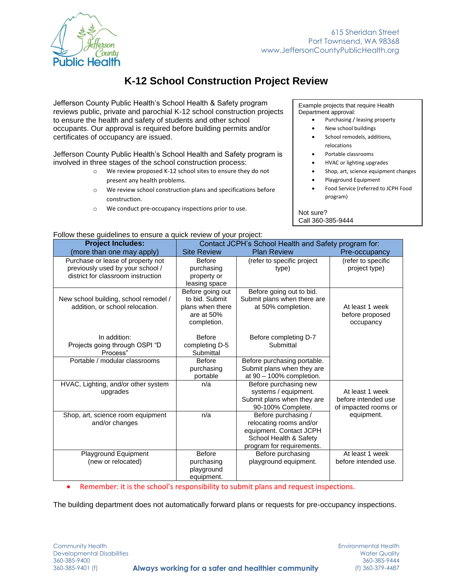

# **K-12 School Construction Project Review**

Jefferson County Public Health's School Health & Safety program reviews public, private and parochial K-12 school construction projects to ensure the health and safety of students and other school occupants. Our approval is required before building permits and/or certificates of occupancy are issued.

Jefferson County Public Health's School Health and Safety program is involved in three stages of the school construction process:

- o We review proposed K-12 school sites to ensure they do not present any health problems.
- o We review school construction plans and specifications before construction.
- o We conduct pre-occupancy inspections prior to use.

Example projects that require Health Department approval:

- Purchasing / leasing property
- New school buildings
- School remodels, additions, relocations
- Portable classrooms
- HVAC or lighting upgrades
- Shop, art, science equipment changes
	- Playground Equipment
	- Food Service (referred to JCPH Food program)

#### Not sure? Call 360-385-9444

| Follow these guidelines to ensure a quick review of your project:                                           |                                                                                     |                                                                                                                                  |                                                                |
|-------------------------------------------------------------------------------------------------------------|-------------------------------------------------------------------------------------|----------------------------------------------------------------------------------------------------------------------------------|----------------------------------------------------------------|
| <b>Project Includes:</b>                                                                                    | Contact JCPH's School Health and Safety program for:                                |                                                                                                                                  |                                                                |
| (more than one may apply)                                                                                   | <b>Site Review</b>                                                                  | <b>Plan Review</b>                                                                                                               | Pre-occupancy                                                  |
| Purchase or lease of property not<br>previously used by your school /<br>district for classroom instruction | <b>Before</b><br>purchasing<br>property or<br>leasing space                         | (refer to specific project<br>type)                                                                                              | (refer to specific<br>project type)                            |
| New school building, school remodel /<br>addition, or school relocation.                                    | Before going out<br>to bid. Submit<br>plans when there<br>are at 50%<br>completion. | Before going out to bid.<br>Submit plans when there are<br>at 50% completion.                                                    | At least 1 week<br>before proposed<br>occupancy                |
| In addition:<br>Projects going through OSPI "D<br>Process"                                                  | <b>Before</b><br>completing D-5<br>Submittal                                        | Before completing D-7<br>Submittal                                                                                               |                                                                |
| Portable / modular classrooms                                                                               | <b>Before</b><br>purchasing<br>portable                                             | Before purchasing portable.<br>Submit plans when they are<br>at 90 - 100% completion.                                            |                                                                |
| HVAC, Lighting, and/or other system<br>upgrades                                                             | n/a                                                                                 | Before purchasing new<br>systems / equipment.<br>Submit plans when they are<br>90-100% Complete.                                 | At least 1 week<br>before intended use<br>of impacted rooms or |
| Shop, art, science room equipment<br>and/or changes                                                         | n/a                                                                                 | Before purchasing /<br>relocating rooms and/or<br>equipment. Contact JCPH<br>School Health & Safety<br>program for requirements. | equipment.                                                     |
| <b>Playground Equipment</b><br>(new or relocated)                                                           | <b>Before</b><br>purchasing<br>playground<br>equipment.                             | Before purchasing<br>playground equipment.                                                                                       | At least 1 week<br>before intended use.                        |

Remember: it is the school's responsibility to submit plans and request inspections.

The building department does not automatically forward plans or requests for pre-occupancy inspections.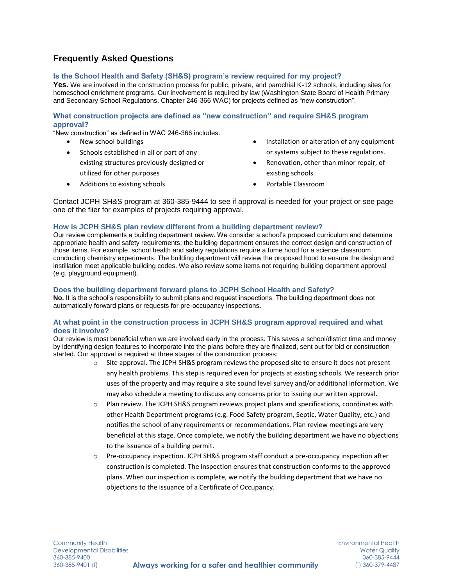## **Frequently Asked Questions**

#### **Is the School Health and Safety (SH&S) program's review required for my project?**

**Yes.** We are involved in the construction process for public, private, and parochial K-12 schools, including sites for homeschool enrichment programs. Our involvement is required by law (Washington State Board of Health Primary and Secondary School Regulations. Chapter 246-366 WAC) for projects defined as "new construction".

#### **What construction projects are defined as "new construction" and require SH&S program approval?**

"New construction" as defined in WAC 246-366 includes:

- New school buildings
- Schools established in all or part of any existing structures previously designed or utilized for other purposes
- Additions to existing schools
- Installation or alteration of any equipment or systems subject to these regulations.
- Renovation, other than minor repair, of existing schools
- Portable Classroom

Contact JCPH SH&S program at 360-385-9444 to see if approval is needed for your project or see page one of the flier for examples of projects requiring approval.

#### **How is JCPH SH&S plan review different from a building department review?**

Our review complements a building department review. We consider a school's proposed curriculum and determine appropriate health and safety requirements; the building department ensures the correct design and construction of those items. For example, school health and safety regulations require a fume hood for a science classroom conducting chemistry experiments. The building department will review the proposed hood to ensure the design and instillation meet applicable building codes. We also review some items not requiring building department approval (e.g. playground equipment).

#### **Does the building department forward plans to JCPH School Health and Safety?**

**No.** It is the school's responsibility to submit plans and request inspections. The building department does not automatically forward plans or requests for pre-occupancy inspections.

#### **At what point in the construction process in JCPH SH&S program approval required and what does it involve?**

Our review is most beneficial when we are involved early in the process. This saves a school/district time and money by identifying design features to incorporate into the plans before they are finalized, sent out for bid or construction started. Our approval is required at three stages of the construction process:

- o Site approval. The JCPH SH&S program reviews the proposed site to ensure it does not present any health problems. This step is required even for projects at existing schools. We research prior uses of the property and may require a site sound level survey and/or additional information. We may also schedule a meeting to discuss any concerns prior to issuing our written approval.
- $\circ$  Plan review. The JCPH SH&S program reviews project plans and specifications, coordinates with other Health Department programs (e.g. Food Safety program, Septic, Water Quality, etc.) and notifies the school of any requirements or recommendations. Plan review meetings are very beneficial at this stage. Once complete, we notify the building department we have no objections to the issuance of a building permit.
- o Pre-occupancy inspection. JCPH SH&S program staff conduct a pre-occupancy inspection after construction is completed. The inspection ensures that construction conforms to the approved plans. When our inspection is complete, we notify the building department that we have no objections to the issuance of a Certificate of Occupancy.